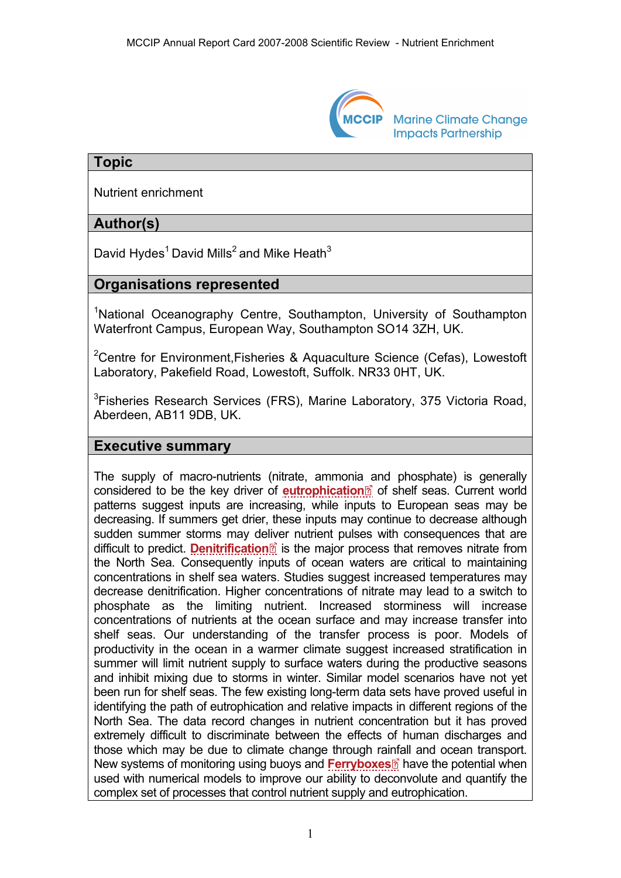

**Marine Climate Change Impacts Partnership** 

### **Topic**

Nutrient enrichment

## **Author(s)**

David Hydes<sup>1</sup> David Mills<sup>2</sup> and Mike Heath<sup>3</sup>

### **Organisations represented**

<sup>1</sup>National Oceanography Centre, Southampton, University of Southampton Waterfront Campus, European Way, Southampton SO14 3ZH, UK.

<sup>2</sup>Centre for Environment, Fisheries & Aquaculture Science (Cefas), Lowestoft Laboratory, Pakefield Road, Lowestoft, Suffolk. NR33 0HT, UK.

<sup>3</sup>Fisheries Research Services (FRS), Marine Laboratory, 375 Victoria Road, Aberdeen, AB11 9DB, UK.

### **Executive summary**

The supply of macro-nutrients (nitrate, ammoni[a a](http://www.mccip.org.uk/arc/2007/glossary.htm)nd phosphate) is generally considered to be the key driver of **[eutrophication](http://www.mccip.org.uk/arc/2007/glossary.htm#Eutrophication)**<sup>2</sup> of shelf seas. Current world patterns suggest inputs are increasing, while inputs to European seas may be decreasing. If summers get drier, these inputs may continue to decrease although sudden summer storms may deliver nutrient pulses with consequences that are difficult to predict. **[Denitrification](http://www.mccip.org.uk/arc/2007/glossary.htm#Denitrification)**<sup>2</sup> is the major process that removes nitrate from the North Sea. Consequently inputs of ocean waters are critical to maintaining concentrations in shelf sea waters. Studies suggest increased temperatures may decrease denitrification. Higher concentrations of nitrate may lead to a switch to phosphate as the limiting nutrient. Increased storminess will increase concentrations of nutrients at the ocean surface and may increase transfer into shelf seas. Our understanding of the transfer process is poor. Models of productivity in the ocean in a warmer climate suggest increased stratification in summer will limit nutrient supply to surface waters during the productive seasons and inhibit mixing due to storms in winter. Similar model scenarios have not yet been run for shelf seas. The few existing long-term data sets have proved useful in identifying the path of eutrophication and relative impacts in different regions of the North Sea. The data record changes in nutrient concentration but it has proved extremely difficult to discriminate between the effects of human discharges and those which may be due to climate change through ra[infa](http://www.mccip.org.uk/arc/2007/glossary.htm)ll and ocean transport. New systems of monitoring using buoys and **[Ferryboxes](http://www.mccip.org.uk/arc/2007/glossary.htm#Ferryboxes)**<sup><sup>®</sup> have the potential when</sup> used with numerical models to improve our ability to deconvolute and quantify the complex set of processes that control nutrient supply and eutrophication.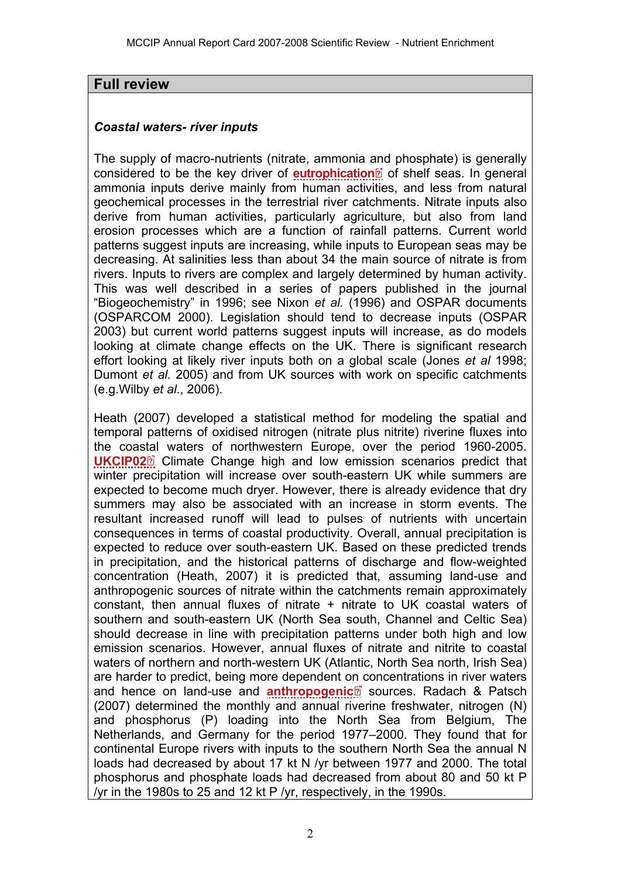### **Full review**

#### *Coastal waters- river inputs*

The supply of macro-nutrients (nitrate, ammonia [and](http://www.mccip.org.uk/arc/2007/glossary.htm) phosphate) is generally considered to be the key driver of **[eutrophication](http://www.mccip.org.uk/arc/2007/glossary.htm#Eutrophication)**<sup>2</sup> of shelf seas. In general ammonia inputs derive mainly from human activities, and less from natural geochemical processes in the terrestrial river catchments. Nitrate inputs also derive from human activities, particularly agriculture, but also from land erosion processes which are a function of rainfall patterns. Current world patterns suggest inputs are increasing, while inputs to European seas may be decreasing. At salinities less than about 34 the main source of nitrate is from rivers. Inputs to rivers are complex and largely determined by human activity. This was well described in a series of papers published in the journal "Biogeochemistry" in 1996; see Nixon *et al.* (1996) and OSPAR documents (OSPARCOM 2000). Legislation should tend to decrease inputs (OSPAR 2003) but current world patterns suggest inputs will increase, as do models looking at climate change effects on the UK. There is significant research effort looking at likely river inputs both on a global scale (Jones *et al* 1998; Dumont *et al.* 2005) and from UK sources with work on specific catchments (e.g.Wilby *et al*., 2006).

Heath (2007) developed a statistical method for modeling the spatial and temporal patterns of oxidised nitrogen (nitrate plus nitrite) riverine fluxes into the coa[stal](http://www.mccip.org.uk/arc/2007/glossary.htm) waters of northwestern Europe, over the period 1960-2005. **[UKCIP02](http://www.mccip.org.uk/arc/2007/glossary.htm#UKCIP02)**<sup>2</sup> Climate Change high and low emission scenarios predict that winter precipitation will increase over south-eastern UK while summers are expected to become much dryer. However, there is already evidence that dry summers may also be associated with an increase in storm events. The resultant increased runoff will lead to pulses of nutrients with uncertain consequences in terms of coastal productivity. Overall, annual precipitation is expected to reduce over south-eastern UK. Based on these predicted trends in precipitation, and the historical patterns of discharge and flow-weighted concentration (Heath, 2007) it is predicted that, assuming land-use and anthropogenic sources of nitrate within the catchments remain approximately constant, then annual fluxes of nitrate + nitrate to UK coastal waters of southern and south-eastern UK (North Sea south, Channel and Celtic Sea) should decrease in line with precipitation patterns under both high and low emission scenarios. However, annual fluxes of nitrate and nitrite to coastal waters of northern and north-western UK (Atlantic, North Sea north, Irish Sea) are harder to predict, being more dependent [on c](http://www.mccip.org.uk/arc/2007/glossary.htm)oncentrations in river waters and hence on land-use and **[anthropogenic](http://www.mccip.org.uk/arc/2007/glossary.htm#Anthropogenic)** sources. Radach & Patsch (2007) determined the monthly and annual riverine freshwater, nitrogen (N) and phosphorus (P) loading into the North Sea from Belgium, The Netherlands, and Germany for the period 1977–2000. They found that for continental Europe rivers with inputs to the southern North Sea the annual N loads had decreased by about 17 kt N /yr between 1977 and 2000. The total phosphorus and phosphate loads had decreased from about 80 and 50 kt P /yr in the 1980s to 25 and 12 kt P /yr, respectively, in the 1990s.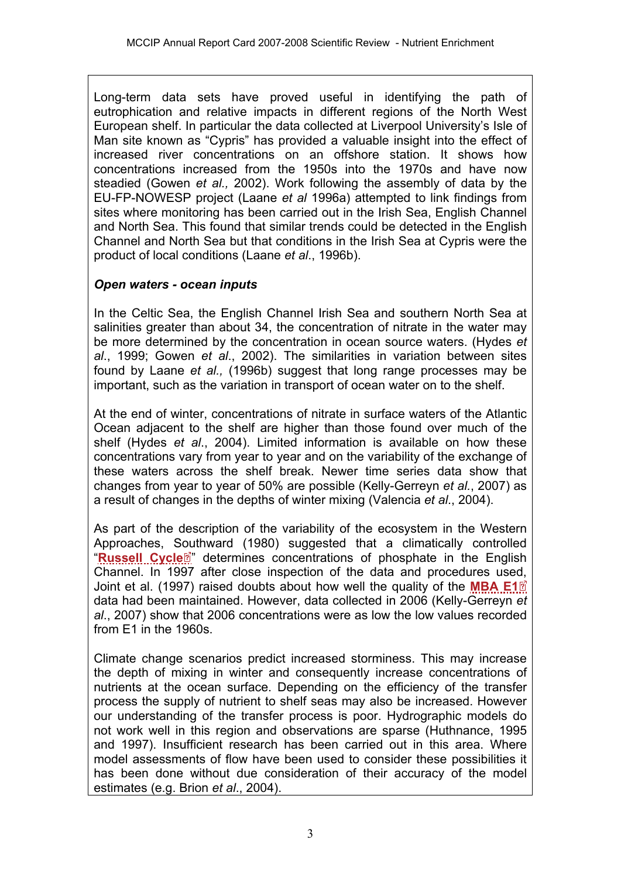Long-term data sets have proved useful in identifying the path of eutrophication and relative impacts in different regions of the North West European shelf. In particular the data collected at Liverpool University's Isle of Man site known as "Cypris" has provided a valuable insight into the effect of increased river concentrations on an offshore station. It shows how concentrations increased from the 1950s into the 1970s and have now steadied (Gowen *et al.,* 2002). Work following the assembly of data by the EU-FP-NOWESP project (Laane *et al* 1996a) attempted to link findings from sites where monitoring has been carried out in the Irish Sea, English Channel and North Sea. This found that similar trends could be detected in the English Channel and North Sea but that conditions in the Irish Sea at Cypris were the product of local conditions (Laane *et al*., 1996b).

### *Open waters - ocean inputs*

In the Celtic Sea, the English Channel Irish Sea and southern North Sea at salinities greater than about 34, the concentration of nitrate in the water may be more determined by the concentration in ocean source waters. (Hydes *et al*., 1999; Gowen *et al*., 2002). The similarities in variation between sites found by Laane *et al.,* (1996b) suggest that long range processes may be important, such as the variation in transport of ocean water on to the shelf.

At the end of winter, concentrations of nitrate in surface waters of the Atlantic Ocean adjacent to the shelf are higher than those found over much of the shelf (Hydes *et al*., 2004). Limited information is available on how these concentrations vary from year to year and on the variability of the exchange of these waters across the shelf break. Newer time series data show that changes from year to year of 50% are possible (Kelly-Gerreyn *et al.*, 2007) as a result of changes in the depths of winter mixing (Valencia *et al*., 2004).

As part of the description of the variability of the ecosystem in the Western Approaches, [Sou](http://www.mccip.org.uk/arc/2007/glossary.htm)thward (1980) suggested that a climatically controlled "[Russell Cycle](http://www.mccip.org.uk/arc/2007/glossary.htm#Russell_Cycle)<sup>7"</sup> determines concentrations of phosphate in the English Channel. In 1997 after close inspection of the data and procedures us[ed,](http://www.mccip.org.uk/arc/2007/glossary.htm)  Joint et al. (1997) raised doubts about how well the quality of the **[MBA E1](http://www.mccip.org.uk/arc/2007/glossary.htm#MBAE1)** data had been maintained. However, data collected in 2006 (Kelly-Gerreyn *et al*., 2007) show that 2006 concentrations were as low the low values recorded from E1 in the 1960s.

Climate change scenarios predict increased storminess. This may increase the depth of mixing in winter and consequently increase concentrations of nutrients at the ocean surface. Depending on the efficiency of the transfer process the supply of nutrient to shelf seas may also be increased. However our understanding of the transfer process is poor. Hydrographic models do not work well in this region and observations are sparse (Huthnance, 1995 and 1997). Insufficient research has been carried out in this area. Where model assessments of flow have been used to consider these possibilities it has been done without due consideration of their accuracy of the model estimates (e.g. Brion *et al*., 2004).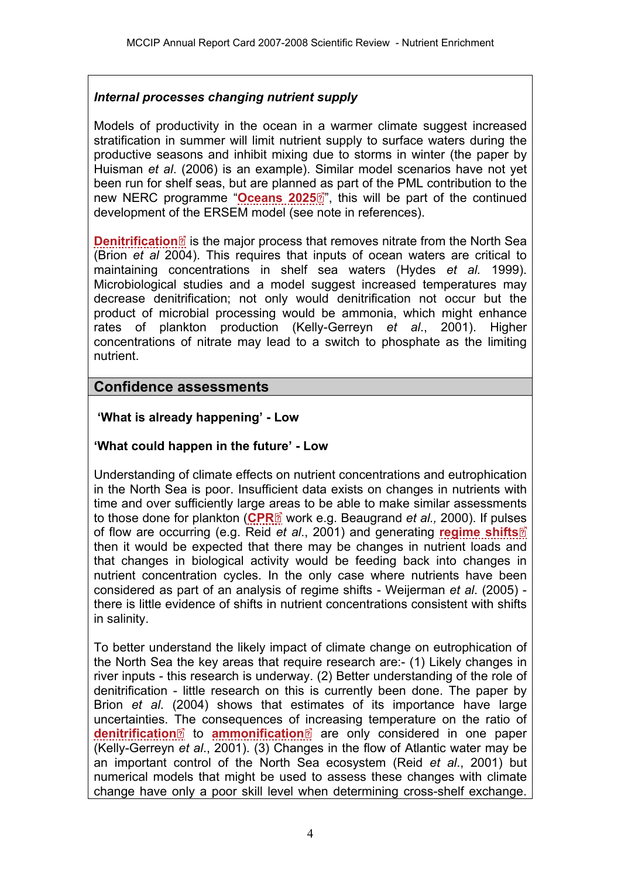### *Internal processes changing nutrient supply*

Models of productivity in the ocean in a warmer climate suggest increased stratification in summer will limit nutrient supply to surface waters during the productive seasons and inhibit mixing due to storms in winter (the paper by Huisman *et al*. (2006) is an example). Similar model scenarios have not yet been run for shelf seas, but are planne[d as](http://www.mccip.org.uk/arc/2007/glossary.htm) part of the PML contribution to the new NERC programme "**[Oceans 2025](http://www.mccip.org.uk/arc/2007/glossary.htm#Oceans2025)**<sup>"</sup>, this will be part of the continued development of the ERSEM model (see note in references).

**[Denitrification](http://www.mccip.org.uk/arc/2007/glossary.htm#Denitrification)**<sup>2</sup> is the major process that removes nitrate from the North Sea (Brion *et al* 2004). This requires that inputs of ocean waters are critical to maintaining concentrations in shelf sea waters (Hydes *et al.* 1999). Microbiological studies and a model suggest increased temperatures may decrease denitrification; not only would denitrification not occur but the product of microbial processing would be ammonia, which might enhance rates of plankton production (Kelly-Gerreyn *et al*., 2001). Higher concentrations of nitrate may lead to a switch to phosphate as the limiting nutrient.

### **Confidence assessments**

### **'What is already happening' - Low**

### **'What could happen in the future' - Low**

Understanding of climate effects on nutrient concentrations and eutrophication in the North Sea is poor. Insufficient data exists on changes in nutrients with time and over sufficiently large [are](http://www.mccip.org.uk/arc/2007/glossary.htm)as to be able to make similar assessments to those done for plankton ([CPR](http://www.mccip.org.uk/arc/2007/glossary.htm#CPR)<sup>o</sup> work e.g. Beaugrand *et al.,* 2000). If pulses of flow are occurring (e.g. Reid *et al*., 2001) and generating **[regime shifts](http://www.mccip.org.uk/arc/2007/glossary.htm#Regime_shifts)** then it would be expected that there may be changes in nutrient loads and that changes in biological activity would be feeding back into changes in nutrient concentration cycles. In the only case where nutrients have been considered as part of an analysis of regime shifts - Weijerman *et al*. (2005) there is little evidence of shifts in nutrient concentrations consistent with shifts in salinity.

To better understand the likely impact of climate change on eutrophication of the North Sea the key areas that require research are:- (1) Likely changes in river inputs - this research is underway. (2) Better understanding of the role of denitrification - little research on this is currently been done. The paper by Brion *et al*. (2004) shows that estimates of its importance have large uncertainties. [Th](http://www.mccip.org.uk/arc/2007/glossary.htm)e consequences of [inc](http://www.mccip.org.uk/arc/2007/glossary.htm)reasing temperature on the ratio of **[denitrification](http://www.mccip.org.uk/arc/2007/glossary.htm#Denitrification)**<sup>2</sup> to **[ammonification](http://www.mccip.org.uk/arc/2007/glossary.htm#Ammonification)**<sup>2</sup> are only considered in one paper (Kelly-Gerreyn *et al*., 2001). (3) Changes in the flow of Atlantic water may be an important control of the North Sea ecosystem (Reid *et al*., 2001) but numerical models that might be used to assess these changes with climate change have only a poor skill level when determining cross-shelf exchange.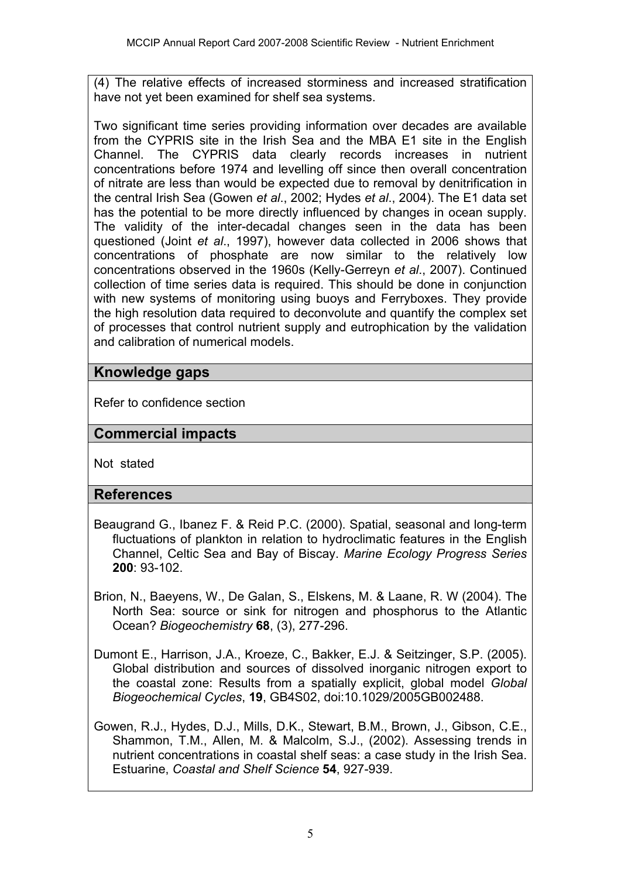(4) The relative effects of increased storminess and increased stratification have not yet been examined for shelf sea systems.

Two significant time series providing information over decades are available from the CYPRIS site in the Irish Sea and the MBA E1 site in the English Channel. The CYPRIS data clearly records increases in nutrient concentrations before 1974 and levelling off since then overall concentration of nitrate are less than would be expected due to removal by denitrification in the central Irish Sea (Gowen *et al*., 2002; Hydes *et al*., 2004). The E1 data set has the potential to be more directly influenced by changes in ocean supply. The validity of the inter-decadal changes seen in the data has been questioned (Joint *et al*., 1997), however data collected in 2006 shows that concentrations of phosphate are now similar to the relatively low concentrations observed in the 1960s (Kelly-Gerreyn *et al*., 2007). Continued collection of time series data is required. This should be done in conjunction with new systems of monitoring using buoys and Ferryboxes. They provide the high resolution data required to deconvolute and quantify the complex set of processes that control nutrient supply and eutrophication by the validation and calibration of numerical models.

# **Knowledge gaps**

Refer to confidence section

# **Commercial impacts**

Not stated

## **References**

- Beaugrand G., Ibanez F. & Reid P.C. (2000). Spatial, seasonal and long-term fluctuations of plankton in relation to hydroclimatic features in the English Channel, Celtic Sea and Bay of Biscay. *Marine Ecology Progress Series*  **200**: 93-102.
- Brion, N., Baeyens, W., De Galan, S., Elskens, M. & Laane, R. W (2004). The North Sea: source or sink for nitrogen and phosphorus to the Atlantic Ocean? *Biogeochemistry* **68**, (3), 277-296.
- Dumont E., Harrison, J.A., Kroeze, C., Bakker, E.J. & Seitzinger, S.P. (2005). Global distribution and sources of dissolved inorganic nitrogen export to the coastal zone: Results from a spatially explicit, global model *Global Biogeochemical Cycles*, **19**, GB4S02, doi:10.1029/2005GB002488.
- Gowen, R.J., Hydes, D.J., Mills, D.K., Stewart, B.M., Brown, J., Gibson, C.E., Shammon, T.M., Allen, M. & Malcolm, S.J., (2002). Assessing trends in nutrient concentrations in coastal shelf seas: a case study in the Irish Sea. Estuarine, *Coastal and Shelf Science* **54**, 927-939.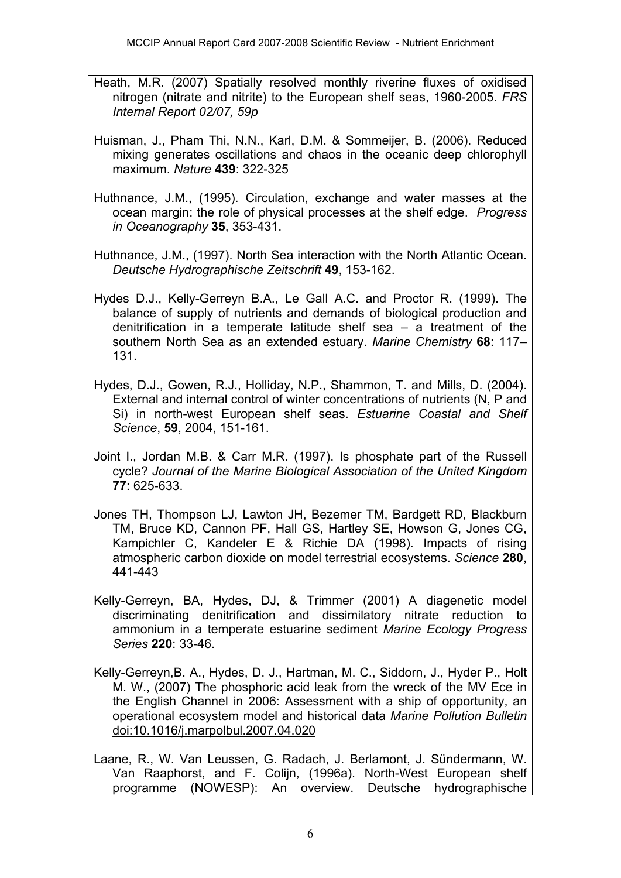- Heath, M.R. (2007) Spatially resolved monthly riverine fluxes of oxidised nitrogen (nitrate and nitrite) to the European shelf seas, 1960-2005. *FRS Internal Report 02/07, 59p*
- Huisman, J., Pham Thi, N.N., Karl, D.M. & Sommeijer, B. (2006). Reduced mixing generates oscillations and chaos in the oceanic deep chlorophyll maximum. *Nature* **439**: 322-325
- Huthnance, J.M., (1995). Circulation, exchange and water masses at the ocean margin: the role of physical processes at the shelf edge. *Progress in Oceanography* **35**, 353-431.
- Huthnance, J.M., (1997). North Sea interaction with the North Atlantic Ocean. *Deutsche Hydrographische Zeitschrift* **49**, 153-162.
- Hydes D.J., Kelly-Gerreyn B.A., Le Gall A.C. and Proctor R. (1999). The balance of supply of nutrients and demands of biological production and denitrification in a temperate latitude shelf sea – a treatment of the southern North Sea as an extended estuary. *Marine Chemistry* **68**: 117– 131.
- Hydes, D.J., Gowen, R.J., Holliday, N.P., Shammon, T. and Mills, D. (2004). External and internal control of winter concentrations of nutrients (N, P and Si) in north-west European shelf seas. *Estuarine Coastal and Shelf Science*, **59**, 2004, 151-161.
- Joint I., Jordan M.B. & Carr M.R. (1997). Is phosphate part of the Russell cycle? *Journal of the Marine Biological Association of the United Kingdom*  **77**: 625-633.
- Jones TH, Thompson LJ, Lawton JH, Bezemer TM, Bardgett RD, Blackburn TM, Bruce KD, Cannon PF, Hall GS, Hartley SE, Howson G, Jones CG, Kampichler C, Kandeler E & Richie DA (1998). Impacts of rising atmospheric carbon dioxide on model terrestrial ecosystems. *Science* **280**, 441-443
- Kelly-Gerreyn, BA, Hydes, DJ, & Trimmer (2001) A diagenetic model discriminating denitrification and dissimilatory nitrate reduction to ammonium in a temperate estuarine sediment *Marine Ecology Progress Series* **220**: 33-46.
- Kelly-Gerreyn,B. A., Hydes, D. J., Hartman, M. C., Siddorn, J., Hyder P., Holt M. W., (2007) The phosphoric acid leak from the wreck of the MV Ece in the English Channel in 2006: Assessment with a ship of opportunity, an operational ecosystem model and historical data *Marine Pollution Bulletin*  doi:10.1016/j.marpolbul.2007.04.020
- Laane, R., W. Van Leussen, G. Radach, J. Berlamont, J. Sündermann, W. Van Raaphorst, and F. Colijn, (1996a). North-West European shelf programme (NOWESP): An overview. Deutsche hydrographische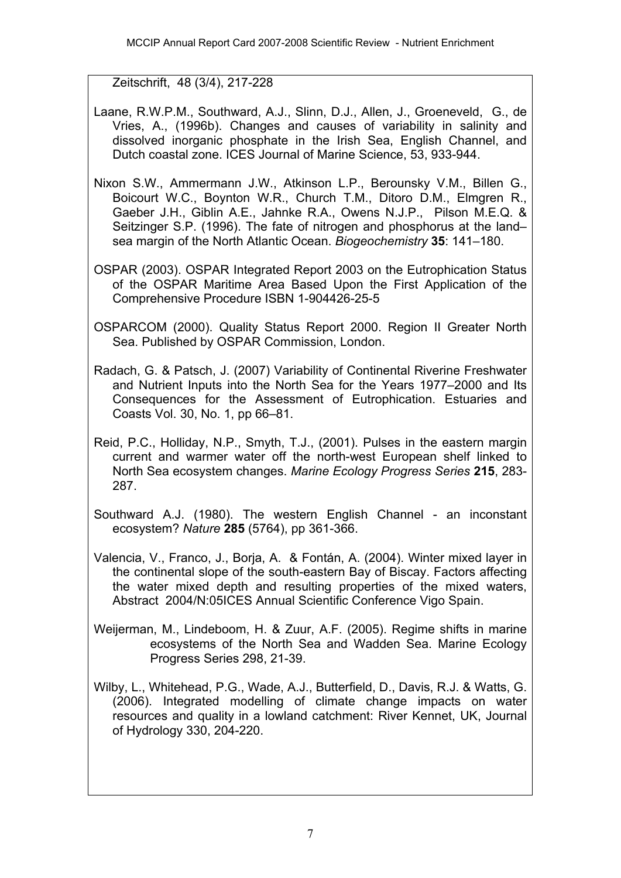Zeitschrift, 48 (3/4), 217-228

- Laane, R.W.P.M., Southward, A.J., Slinn, D.J., Allen, J., Groeneveld, G., de Vries, A., (1996b). Changes and causes of variability in salinity and dissolved inorganic phosphate in the Irish Sea, English Channel, and Dutch coastal zone. ICES Journal of Marine Science, 53, 933-944.
- Nixon S.W., Ammermann J.W., Atkinson L.P., Berounsky V.M., Billen G., Boicourt W.C., Boynton W.R., Church T.M., Ditoro D.M., Elmgren R., Gaeber J.H., Giblin A.E., Jahnke R.A., Owens N.J.P., Pilson M.E.Q. & Seitzinger S.P. (1996). The fate of nitrogen and phosphorus at the land– sea margin of the North Atlantic Ocean. *Biogeochemistry* **35**: 141–180.
- OSPAR (2003). OSPAR Integrated Report 2003 on the Eutrophication Status of the OSPAR Maritime Area Based Upon the First Application of the Comprehensive Procedure ISBN 1-904426-25-5
- OSPARCOM (2000). Quality Status Report 2000. Region II Greater North Sea. Published by OSPAR Commission, London.
- Radach, G. & Patsch, J. (2007) Variability of Continental Riverine Freshwater and Nutrient Inputs into the North Sea for the Years 1977–2000 and Its Consequences for the Assessment of Eutrophication. Estuaries and Coasts Vol. 30, No. 1, pp 66–81.
- Reid, P.C., Holliday, N.P., Smyth, T.J., (2001). Pulses in the eastern margin current and warmer water off the north-west European shelf linked to North Sea ecosystem changes. *Marine Ecology Progress Series* **215**, 283- 287.
- Southward A.J. (1980). The western English Channel an inconstant ecosystem? *Nature* **285** (5764), pp 361-366.
- Valencia, V., Franco, J., Borja, A. & Fontán, A. (2004). Winter mixed layer in the continental slope of the south-eastern Bay of Biscay. Factors affecting the water mixed depth and resulting properties of the mixed waters, Abstract 2004/N:05ICES Annual Scientific Conference Vigo Spain.
- Weijerman, M., Lindeboom, H. & Zuur, A.F. (2005). Regime shifts in marine ecosystems of the North Sea and Wadden Sea. Marine Ecology Progress Series 298, 21-39.
- Wilby, L., Whitehead, P.G., Wade, A.J., Butterfield, D., Davis, R.J. & Watts, G. (2006). Integrated modelling of climate change impacts on water resources and quality in a lowland catchment: River Kennet, UK, Journal of Hydrology 330, 204-220.